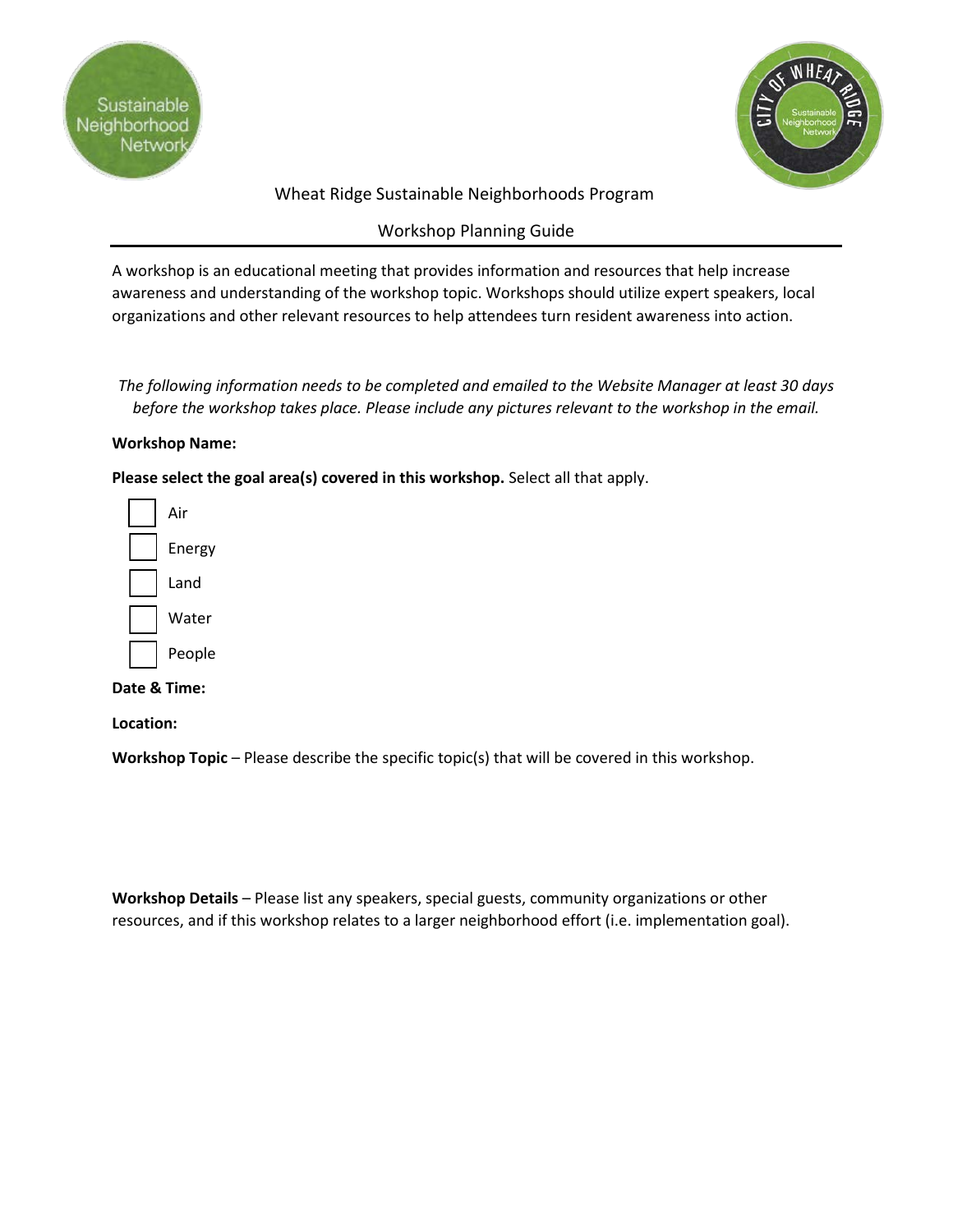



# Wheat Ridge Sustainable Neighborhoods Program

# Workshop Planning Guide

A workshop is an educational meeting that provides information and resources that help increase awareness and understanding of the workshop topic. Workshops should utilize expert speakers, local organizations and other relevant resources to help attendees turn resident awareness into action.

*The following information needs to be completed and emailed to the Website Manager at least 30 days before the workshop takes place. Please include any pictures relevant to the workshop in the email.*

#### **Workshop Name:**

**Please select the goal area(s) covered in this workshop.** Select all that apply.



### **Date & Time:**

**Location:**

**Workshop Topic** – Please describe the specific topic(s) that will be covered in this workshop.

**Workshop Details** – Please list any speakers, special guests, community organizations or other resources, and if this workshop relates to a larger neighborhood effort (i.e. implementation goal).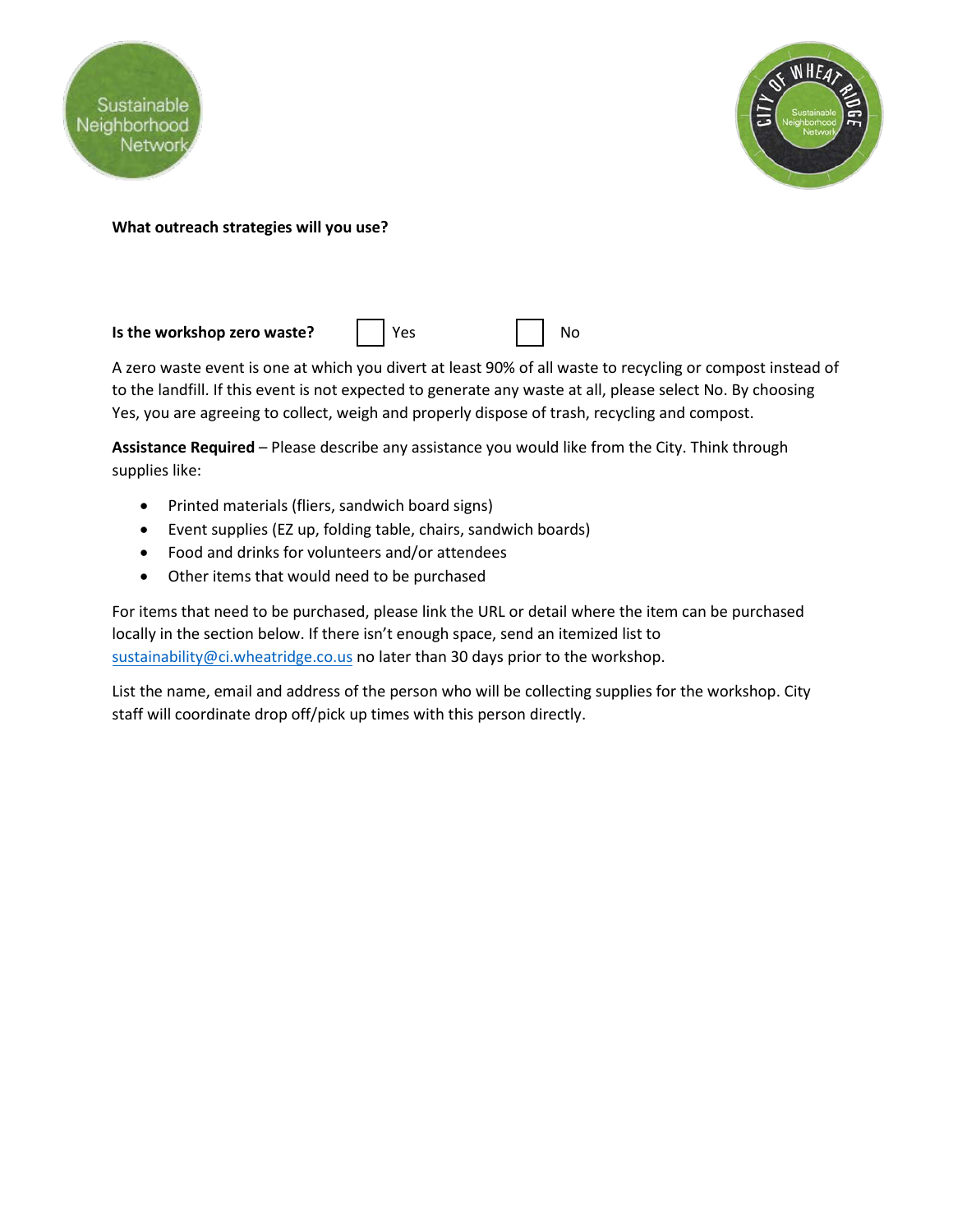



### **What outreach strategies will you use?**

**Is the workshop zero waste?**  $\begin{array}{ccc} \vert & \vert & \vert \vee \vert \text{e} \text{s} \end{array}$   $\begin{array}{ccc} \vert & \vert & \vert \text{No} \end{array}$ 

A zero waste event is one at which you divert at least 90% of all waste to recycling or compost instead of to the landfill. If this event is not expected to generate any waste at all, please select No. By choosing Yes, you are agreeing to collect, weigh and properly dispose of trash, recycling and compost.

**Assistance Required** – Please describe any assistance you would like from the City. Think through supplies like:

- Printed materials (fliers, sandwich board signs)
- Event supplies (EZ up, folding table, chairs, sandwich boards)
- Food and drinks for volunteers and/or attendees
- Other items that would need to be purchased

For items that need to be purchased, please link the URL or detail where the item can be purchased locally in the section below. If there isn't enough space, send an itemized list to sustainability@ci.wheatridge.co.us no later than 30 days prior to the workshop.

List the name, email and address of the person who will be collecting supplies for the workshop. City staff will coordinate drop off/pick up times with this person directly.